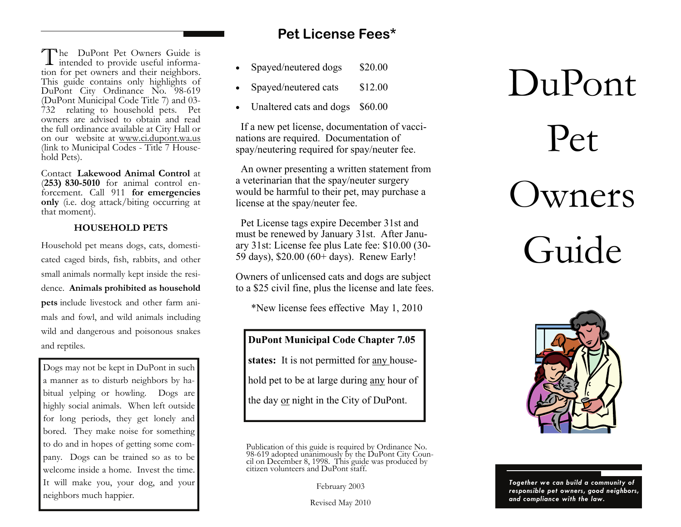The DuPont Pet Owners Guide is intended to provide useful information for pet owners and their neighbors. This guide contains only highlights of DuPont City Ordinance No. 98-619 (DuPont Municipal Code Title 7) and 03- 732 relating to household pets. Pet owners are advised to obtain and read the full ordinance available at City Hall or on our website at www.ci.dupont.wa.us (link to Municipal Codes - Title 7 Household Pets).

Contact **Lakewood Animal Control** at (**253) 830-5010** for animal control enforcement. Call 911 **for emergencies only** (i.e. dog attack/biting occurring at that moment).

## **HOUSEHOLD PETS**

Household pet means dogs, cats, domesticated caged birds, fish, rabbits, and other small animals normally kept inside the residence. **Animals prohibited as household pets** include livestock and other farm animals and fowl, and wild animals including wild and dangerous and poisonous snakes and reptiles*.* 

Dogs may not be kept in DuPont in such a manner as to disturb neighbors by habitual yelping or howling. Dogs are highly social animals. When left outside for long periods, they get lonely and bored. They make noise for something to do and in hopes of getting some company. Dogs can be trained so as to be welcome inside a home. Invest the time. It will make you, your dog, and your neighbors much happier.

# **Pet License Fees\***

- $\bullet$ Spayed/neutered dogs \$20.00
- $\bullet$ Spayed/neutered cats \$12.00
- Unaltered cats and dogs \$60.00

 If a new pet license, documentation of vaccinations are required. Documentation of spay/neutering required for spay/neuter fee.

 An owner presenting a written statement from a veterinarian that the spay/neuter surgery would be harmful to their pet, may purchase a license at the spay/neuter fee.

 Pet License tags expire December 31st and must be renewed by January 31st. After January 31st: License fee plus Late fee: \$10.00 (30- 59 days), \$20.00 (60+ days). Renew Early!

Owners of unlicensed cats and dogs are subject to a \$25 civil fine, plus the license and late fees.

\*New license fees effective May 1, 2010

**DuPont Municipal Code Chapter 7.05 states:** It is not permitted for any household pet to be at large during any hour of the day or night in the City of DuPont.

February 2003

Revised May 2010

# Pet Owners Guide

DuPont



*Together we can build a community of responsible pet owners, good neighbors, and compliance with the law.* 

Publication of this guide is required by Ordinance No.<br>98-619 adopted unanimously by the DuPont City Coun-<br>cil on December 8, 1998. This guide was produced by<br>citizen volunteers and DuPont staff.